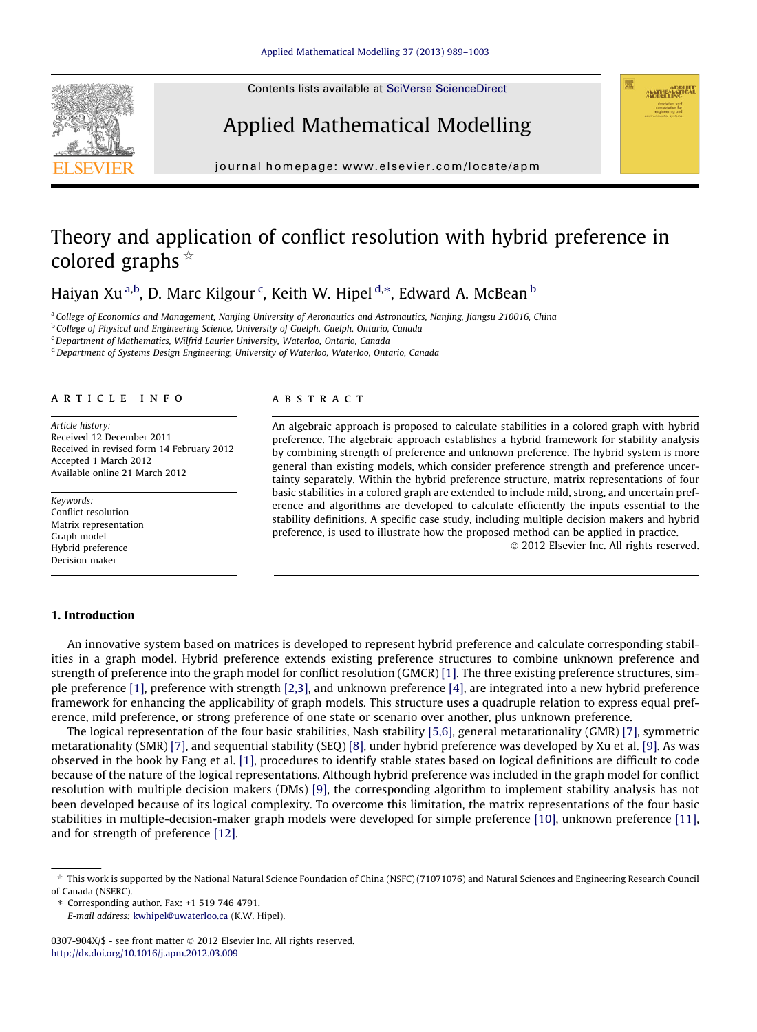Contents lists available at [SciVerse ScienceDirect](http://www.sciencedirect.com/science/journal/0307904X)





journal homepage: [www.elsevier.com/locate/apm](http://www.elsevier.com/locate/apm)

# Theory and application of conflict resolution with hybrid preference in colored graphs  $\overline{\mathbf{r}}$

Haiyan Xu <sup>a,b</sup>, D. Marc Kilgour <sup>c</sup>, Keith W. Hipel <sup>d,</sup>\*, Edward A. McBean <sup>b</sup>

<sup>a</sup> College of Economics and Management, Nanjing University of Aeronautics and Astronautics, Nanjing, Jiangsu 210016, China

**b College of Physical and Engineering Science, University of Guelph, Guelph, Ontario, Canada** 

<sup>c</sup>Department of Mathematics, Wilfrid Laurier University, Waterloo, Ontario, Canada

<sup>d</sup> Department of Systems Design Engineering, University of Waterloo, Waterloo, Ontario, Canada

#### article info

Article history: Received 12 December 2011 Received in revised form 14 February 2012 Accepted 1 March 2012 Available online 21 March 2012

Keywords: Conflict resolution Matrix representation Graph model Hybrid preference Decision maker

## 1. Introduction

#### ABSTRACT

An algebraic approach is proposed to calculate stabilities in a colored graph with hybrid preference. The algebraic approach establishes a hybrid framework for stability analysis by combining strength of preference and unknown preference. The hybrid system is more general than existing models, which consider preference strength and preference uncertainty separately. Within the hybrid preference structure, matrix representations of four basic stabilities in a colored graph are extended to include mild, strong, and uncertain preference and algorithms are developed to calculate efficiently the inputs essential to the stability definitions. A specific case study, including multiple decision makers and hybrid preference, is used to illustrate how the proposed method can be applied in practice.

- 2012 Elsevier Inc. All rights reserved.

An innovative system based on matrices is developed to represent hybrid preference and calculate corresponding stabilities in a graph model. Hybrid preference extends existing preference structures to combine unknown preference and strength of preference into the graph model for conflict resolution (GMCR) [\[1\]](#page--1-0). The three existing preference structures, simple preference [\[1\],](#page--1-0) preference with strength [\[2,3\],](#page--1-0) and unknown preference [\[4\],](#page--1-0) are integrated into a new hybrid preference framework for enhancing the applicability of graph models. This structure uses a quadruple relation to express equal preference, mild preference, or strong preference of one state or scenario over another, plus unknown preference.

The logical representation of the four basic stabilities, Nash stability [\[5,6\]](#page--1-0), general metarationality (GMR) [\[7\],](#page--1-0) symmetric metarationality (SMR) [\[7\]](#page--1-0), and sequential stability (SEQ) [\[8\],](#page--1-0) under hybrid preference was developed by Xu et al. [\[9\].](#page--1-0) As was observed in the book by Fang et al. [\[1\],](#page--1-0) procedures to identify stable states based on logical definitions are difficult to code because of the nature of the logical representations. Although hybrid preference was included in the graph model for conflict resolution with multiple decision makers (DMs) [\[9\]](#page--1-0), the corresponding algorithm to implement stability analysis has not been developed because of its logical complexity. To overcome this limitation, the matrix representations of the four basic stabilities in multiple-decision-maker graph models were developed for simple preference [\[10\],](#page--1-0) unknown preference [\[11\]](#page--1-0), and for strength of preference [\[12\]](#page--1-0).

 $*$  This work is supported by the National Natural Science Foundation of China (NSFC) (71071076) and Natural Sciences and Engineering Research Council of Canada (NSERC).

<sup>⇑</sup> Corresponding author. Fax: +1 519 746 4791. E-mail address: [kwhipel@uwaterloo.ca](mailto:kwhipel@uwaterloo.ca) (K.W. Hipel).

<sup>0307-904</sup>X/\$ - see front matter © 2012 Elsevier Inc. All rights reserved. <http://dx.doi.org/10.1016/j.apm.2012.03.009>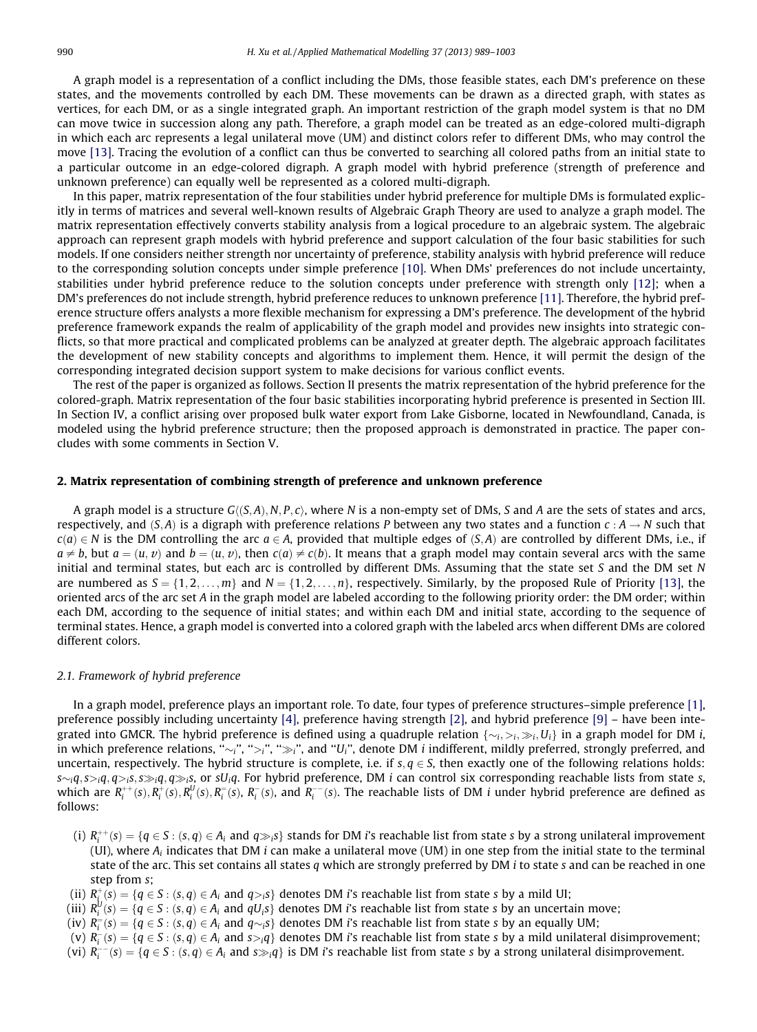A graph model is a representation of a conflict including the DMs, those feasible states, each DM's preference on these states, and the movements controlled by each DM. These movements can be drawn as a directed graph, with states as vertices, for each DM, or as a single integrated graph. An important restriction of the graph model system is that no DM can move twice in succession along any path. Therefore, a graph model can be treated as an edge-colored multi-digraph in which each arc represents a legal unilateral move (UM) and distinct colors refer to different DMs, who may control the move [\[13\]](#page--1-0). Tracing the evolution of a conflict can thus be converted to searching all colored paths from an initial state to a particular outcome in an edge-colored digraph. A graph model with hybrid preference (strength of preference and unknown preference) can equally well be represented as a colored multi-digraph.

In this paper, matrix representation of the four stabilities under hybrid preference for multiple DMs is formulated explicitly in terms of matrices and several well-known results of Algebraic Graph Theory are used to analyze a graph model. The matrix representation effectively converts stability analysis from a logical procedure to an algebraic system. The algebraic approach can represent graph models with hybrid preference and support calculation of the four basic stabilities for such models. If one considers neither strength nor uncertainty of preference, stability analysis with hybrid preference will reduce to the corresponding solution concepts under simple preference [\[10\].](#page--1-0) When DMs' preferences do not include uncertainty, stabilities under hybrid preference reduce to the solution concepts under preference with strength only [\[12\]](#page--1-0); when a DM's preferences do not include strength, hybrid preference reduces to unknown preference [\[11\].](#page--1-0) Therefore, the hybrid preference structure offers analysts a more flexible mechanism for expressing a DM's preference. The development of the hybrid preference framework expands the realm of applicability of the graph model and provides new insights into strategic conflicts, so that more practical and complicated problems can be analyzed at greater depth. The algebraic approach facilitates the development of new stability concepts and algorithms to implement them. Hence, it will permit the design of the corresponding integrated decision support system to make decisions for various conflict events.

The rest of the paper is organized as follows. Section II presents the matrix representation of the hybrid preference for the colored-graph. Matrix representation of the four basic stabilities incorporating hybrid preference is presented in Section III. In Section IV, a conflict arising over proposed bulk water export from Lake Gisborne, located in Newfoundland, Canada, is modeled using the hybrid preference structure; then the proposed approach is demonstrated in practice. The paper concludes with some comments in Section V.

#### 2. Matrix representation of combining strength of preference and unknown preference

A graph model is a structure  $G\langle (S, A), N, P, c \rangle$ , where N is a non-empty set of DMs, S and A are the sets of states and arcs, respectively, and  $(S, A)$  is a digraph with preference relations P between any two states and a function  $c : A \to N$  such that  $c(a) \in N$  is the DM controlling the arc  $a \in A$ , provided that multiple edges of  $(S, A)$  are controlled by different DMs, i.e., if  $a \neq b$ , but  $a = (u, v)$  and  $b = (u, v)$ , then  $c(a) \neq c(b)$ . It means that a graph model may contain several arcs with the same initial and terminal states, but each arc is controlled by different DMs. Assuming that the state set S and the DM set N are numbered as  $S = \{1, 2, ..., m\}$  and  $N = \{1, 2, ..., n\}$ , respectively. Similarly, by the proposed Rule of Priority [\[13\],](#page--1-0) the oriented arcs of the arc set A in the graph model are labeled according to the following priority order: the DM order; within each DM, according to the sequence of initial states; and within each DM and initial state, according to the sequence of terminal states. Hence, a graph model is converted into a colored graph with the labeled arcs when different DMs are colored different colors.

## 2.1. Framework of hybrid preference

In a graph model, preference plays an important role. To date, four types of preference structures–simple preference [\[1\],](#page--1-0) preference possibly including uncertainty [\[4\]](#page--1-0), preference having strength [\[2\]](#page--1-0), and hybrid preference [\[9\]](#page--1-0) – have been integrated into GMCR. The hybrid preference is defined using a quadruple relation  $\{\sim_i, >_i, \gg_i, U_i\}$  in a graph model for DM i, in which preference relations, " $\sim_i$ ", " $\gg_i$ ", and "U<sub>i</sub>", denote DM *i* indifferent, mildly preferred, strongly preferred, and uncertain, respectively. The hybrid structure is complete, i.e. if  $s, q \in S$ , then exactly one of the following relations holds:  $s$ ~ $_i$ q, $s$ > $_i$ q, $q$ > $_i$ s, $g$ , $q$ , $q$  $\gg$  $_i$ s, or s $U_i$ q. For hybrid preference, DM  $i$  can control six corresponding reachable lists from state s, which are  $R_i^{++}(s), R_i^+(s), R_i^U(s), R_i^-(s), R_i^-(s),$  and  $R_i^{--}(s)$ . The reachable lists of DM i under hybrid preference are defined as follows:

- (i)  $R_i^{++}(s) = \{q \in S : (s,q) \in A_i \text{ and } q \gg_i s\}$  stands for DM i's reachable list from state s by a strong unilateral improvement (UI), where  $A_i$  indicates that DM *i* can make a unilateral move (UM) in one step from the initial state to the terminal state of the arc. This set contains all states q which are strongly preferred by DM *i* to state s and can be reached in one step from s;
- (ii)  $R^+_{\vec{i}}(s) = \{q \in S : (s,q) \in A_i \text{ and } q_{\geq i}s\}$  denotes DM i's reachable list from state s by a mild UI;
- (iii)  $R_i^U(s)=\{q\in S:(s,q)\in A_i \text{ and } qU_i s\}$  denotes DM  $i$ 's reachable list from state  $s$  by an uncertain move;
- (iv)  $R_i^=(s)=\{q\in S:(s,q)\in A_i$  and  $q\sim_i s\}$  denotes DM i's reachable list from state  $s$  by an equally UM;
- (v)  $R_i^-(s) = \{q \in S : (s,q) \in A_i \text{ and } s >_i q\}$  denotes DM i's reachable list from state s by a mild unilateral disimprovement;
- (vi)  $R_i^{-1}(s) = \{q \in S : (s,q) \in A_i \text{ and } s \gg_i q\}$  is DM i's reachable list from state s by a strong unilateral disimprovement.